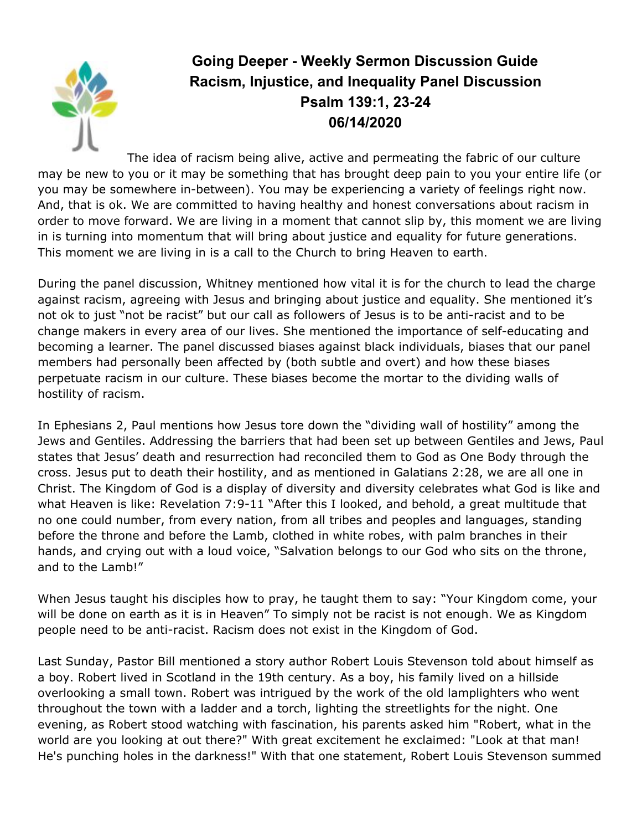

## **Going Deeper - Weekly Sermon Discussion Guide Racism, Injustice, and Inequality Panel Discussion Psalm 139:1, 23-24 06/14/2020**

The idea of racism being alive, active and permeating the fabric of our culture may be new to you or it may be something that has brought deep pain to you your entire life (or you may be somewhere in-between). You may be experiencing a variety of feelings right now. And, that is ok. We are committed to having healthy and honest conversations about racism in order to move forward. We are living in a moment that cannot slip by, this moment we are living in is turning into momentum that will bring about justice and equality for future generations. This moment we are living in is a call to the Church to bring Heaven to earth.

During the panel discussion, Whitney mentioned how vital it is for the church to lead the charge against racism, agreeing with Jesus and bringing about justice and equality. She mentioned it's not ok to just "not be racist" but our call as followers of Jesus is to be anti-racist and to be change makers in every area of our lives. She mentioned the importance of self-educating and becoming a learner. The panel discussed biases against black individuals, biases that our panel members had personally been affected by (both subtle and overt) and how these biases perpetuate racism in our culture. These biases become the mortar to the dividing walls of hostility of racism.

In Ephesians 2, Paul mentions how Jesus tore down the "dividing wall of hostility" among the Jews and Gentiles. Addressing the barriers that had been set up between Gentiles and Jews, Paul states that Jesus' death and resurrection had reconciled them to God as One Body through the cross. Jesus put to death their hostility, and as mentioned in Galatians 2:28, we are all one in Christ. The Kingdom of God is a display of diversity and diversity celebrates what God is like and what Heaven is like: Revelation 7:9-11 "After this I looked, and behold, a great multitude that no one could number, from every nation, from all tribes and peoples and languages, standing before the throne and before the Lamb, clothed in white robes, with palm branches in their hands, and crying out with a loud voice, "Salvation belongs to our God who sits on the throne, and to the Lamb!"

When Jesus taught his disciples how to pray, he taught them to say: "Your Kingdom come, your will be done on earth as it is in Heaven" To simply not be racist is not enough. We as Kingdom people need to be anti-racist. Racism does not exist in the Kingdom of God.

Last Sunday, Pastor Bill mentioned a story author Robert Louis Stevenson told about himself as a boy. Robert lived in Scotland in the 19th century. As a boy, his family lived on a hillside overlooking a small town. Robert was intrigued by the work of the old lamplighters who went throughout the town with a ladder and a torch, lighting the streetlights for the night. One evening, as Robert stood watching with fascination, his parents asked him "Robert, what in the world are you looking at out there?" With great excitement he exclaimed: "Look at that man! He's punching holes in the darkness!" With that one statement, Robert Louis Stevenson summed